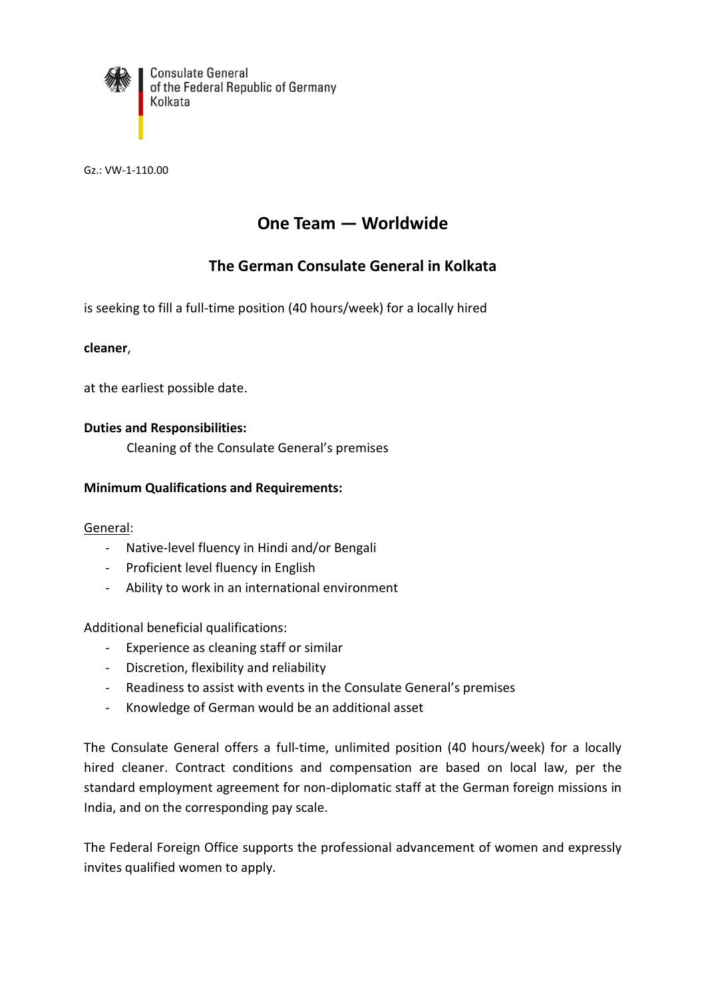

**Consulate General** of the Federal Republic of Germany Kolkata

Gz.: VW-1-110.00

# **One Team — Worldwide**

## **The German Consulate General in Kolkata**

is seeking to fill a full-time position (40 hours/week) for a locally hired

#### **cleaner**,

at the earliest possible date.

#### **Duties and Responsibilities:**

Cleaning of the Consulate General's premises

#### **Minimum Qualifications and Requirements:**

#### General:

- Native-level fluency in Hindi and/or Bengali
- Proficient level fluency in English
- Ability to work in an international environment

Additional beneficial qualifications:

- Experience as cleaning staff or similar
- Discretion, flexibility and reliability
- Readiness to assist with events in the Consulate General's premises
- Knowledge of German would be an additional asset

The Consulate General offers a full-time, unlimited position (40 hours/week) for a locally hired cleaner. Contract conditions and compensation are based on local law, per the standard employment agreement for non-diplomatic staff at the German foreign missions in India, and on the corresponding pay scale.

The Federal Foreign Office supports the professional advancement of women and expressly invites qualified women to apply.